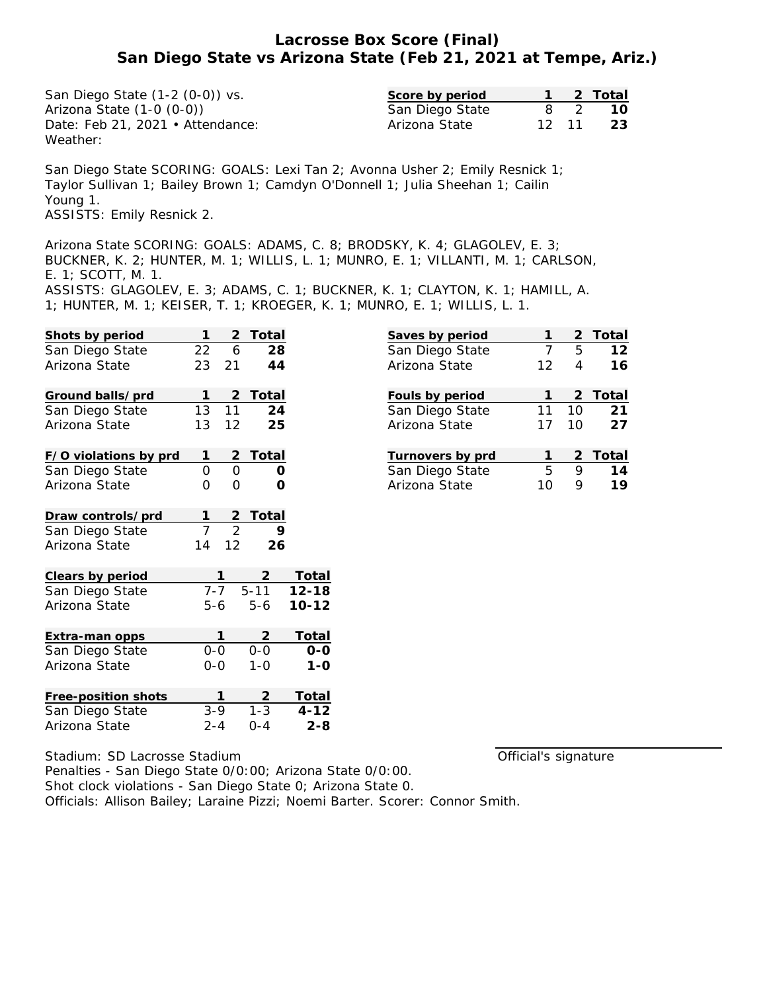# **Lacrosse Box Score (Final) San Diego State vs Arizona State (Feb 21, 2021 at Tempe, Ariz.)**

San Diego State (1-2 (0-0)) vs. Arizona State (1-0 (0-0)) Date: Feb 21, 2021 • Attendance: Weather:

| Score by period |       |                | 2 Total |
|-----------------|-------|----------------|---------|
| San Diego State |       | $\overline{2}$ | - 10    |
| Arizona State   | 12 11 |                | - 23    |

San Diego State SCORING: GOALS: Lexi Tan 2; Avonna Usher 2; Emily Resnick 1; Taylor Sullivan 1; Bailey Brown 1; Camdyn O'Donnell 1; Julia Sheehan 1; Cailin Young 1. ASSISTS: Emily Resnick 2.

Arizona State SCORING: GOALS: ADAMS, C. 8; BRODSKY, K. 4; GLAGOLEV, E. 3; BUCKNER, K. 2; HUNTER, M. 1; WILLIS, L. 1; MUNRO, E. 1; VILLANTI, M. 1; CARLSON, E. 1; SCOTT, M. 1. ASSISTS: GLAGOLEV, E. 3; ADAMS, C. 1; BUCKNER, K. 1; CLAYTON, K. 1; HAMILL, A.

1; HUNTER, M. 1; KEISER, T. 1; KROEGER, K. 1; MUNRO, E. 1; WILLIS, L. 1.

| Shots by period       | 1              | $\overline{2}$<br>Total |           |                            |
|-----------------------|----------------|-------------------------|-----------|----------------------------|
| San Diego State       | 22             | 28<br>6                 |           | $rac{S_i}{S_i}$            |
| Arizona State         | 21<br>23       | 44                      |           | $\overline{A}$             |
| Ground balls/prd      | 1              | Total                   |           | $rac{F_0}{S_0}$            |
| San Diego State       | 13<br>11       | 24                      |           |                            |
| Arizona State         | 13             | 25<br>12                |           | $\overline{A}$             |
| F/O violations by prd | 1              | Total<br>2              |           |                            |
| San Diego State       | 0              | O<br>Ο                  |           | $rac{\text{Tr}}{\text{S}}$ |
| Arizona State         | O              | 0<br>Ο                  |           | $\overline{A}$             |
| Draw controls/prd     | 1              | Total<br>$\frac{2}{2}$  |           |                            |
| San Diego State       | $\overline{7}$ | 9                       |           |                            |
| Arizona State         | 14             | 12<br>26                |           |                            |
| Clears by period      | 1              |                         | Total     |                            |
| San Diego State       | $7 - 7$        | $5 - 11$                | $12 - 18$ |                            |
| Arizona State         | 5-6            | $5 - 6$                 | $10 - 12$ |                            |
| Extra-man opps        | 1              | 2                       | Total     |                            |
| San Diego State       | $0 - 0$        | $0-0$                   | $O-O$     |                            |
| Arizona State         | $0 - 0$        | $1 - 0$                 | $1 - O$   |                            |
| Free-position shots   | 1              | 2                       | Total     |                            |
| San Diego State       | $3 - 9$        | $1 - 3$                 | $4 - 12$  |                            |
| Arizona State         | $2 - 4$        | $O - 4$                 | $2 - 8$   |                            |
|                       |                |                         |           |                            |

| Saves by period  |    |                 | 2 Total |
|------------------|----|-----------------|---------|
| San Diego State  | 7  | 5               | 12      |
| Arizona State    | 12 | 4               | 16      |
|                  |    |                 |         |
| Fouls by period  |    |                 | 2 Total |
| San Diego State  | 11 | 10 <sup>1</sup> | 21      |
| Arizona State    | 17 | 10              | 27      |
|                  |    |                 |         |
| Turnovers by prd | 1  |                 | 2 Total |
| San Diego State  | 5  | 9               | 14      |
| Arizona State    | 10 |                 | 19      |

Official's signature

Stadium: SD Lacrosse Stadium Penalties - San Diego State 0/0:00; Arizona State 0/0:00. Shot clock violations - San Diego State 0; Arizona State 0. Officials: Allison Bailey; Laraine Pizzi; Noemi Barter. Scorer: Connor Smith.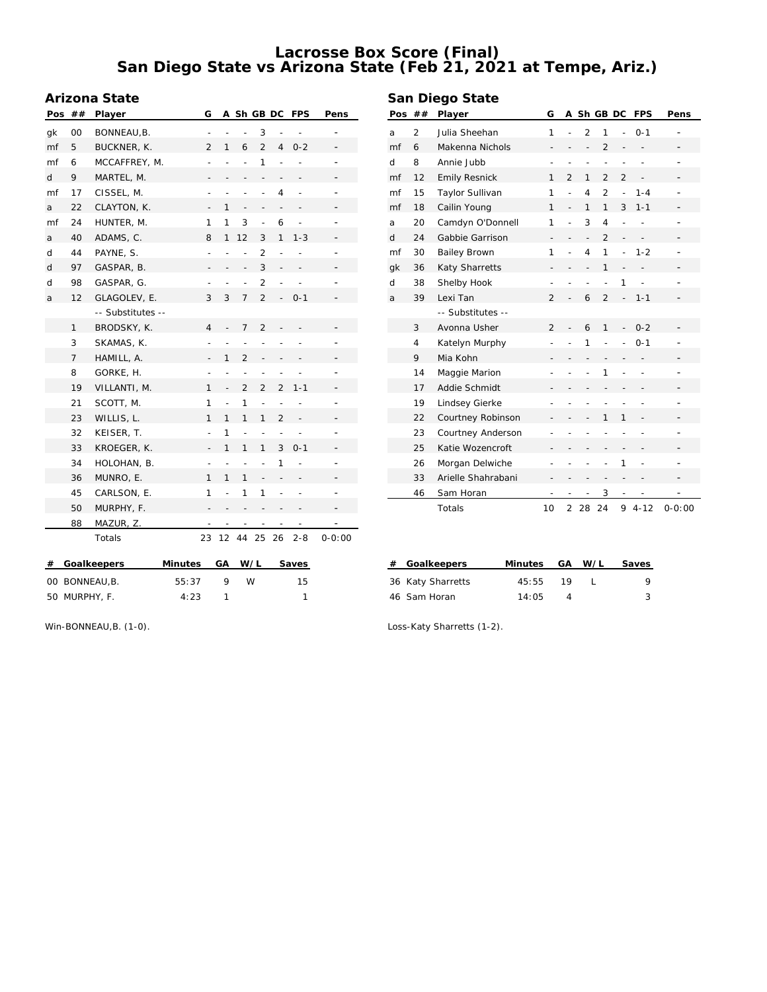# **Lacrosse Box Score (Final) San Diego State vs Arizona State (Feb 21, 2021 at Tempe, Ariz.)**

### **Arizona State**

| Pos                                               | ##           | <b>Player</b>     | G                            |                 |                          |                          |                          | A Sh GB DC FPS           | Pens                     |
|---------------------------------------------------|--------------|-------------------|------------------------------|-----------------|--------------------------|--------------------------|--------------------------|--------------------------|--------------------------|
| qk                                                | 00           | BONNEAU, B.       | $\qquad \qquad \blacksquare$ |                 | $\overline{a}$           | 3                        | $\overline{a}$           |                          |                          |
| mf                                                | 5            | BUCKNER, K.       | $\overline{2}$               | 1               | 6                        | $\overline{2}$           | 4                        | $0 - 2$                  |                          |
| mf                                                | 6            | MCCAFFREY, M.     | $\overline{a}$               | $\overline{a}$  | $\overline{a}$           | 1                        |                          |                          | $\overline{\phantom{0}}$ |
| d                                                 | 9            | MARTEL, M.        | $\overline{\phantom{0}}$     |                 | $\qquad \qquad -$        | $\qquad \qquad -$        | $\overline{\phantom{0}}$ | $\overline{\phantom{0}}$ |                          |
| mf                                                | 17           | CISSEL, M.        | $\overline{a}$               | $\overline{a}$  | $\overline{a}$           | $\overline{a}$           | 4                        | $\overline{a}$           |                          |
| a                                                 | 22           | CLAYTON, K.       |                              | 1               | $\frac{1}{2}$            | $\overline{\phantom{0}}$ | $\overline{\phantom{0}}$ | $\overline{\phantom{m}}$ |                          |
| mf                                                | 24           | HUNTER, M.        | 1                            | 1               | 3                        | $\overline{a}$           | 6                        | $\overline{a}$           |                          |
| a                                                 | 40           | ADAMS, C.         | 8                            | 1               | 12                       | 3                        | 1                        | $1 - 3$                  |                          |
| d                                                 | 44           | PAYNE, S.         | $\overline{a}$               | $\overline{a}$  | $\overline{a}$           | $\overline{2}$           | $\overline{a}$           | $\overline{a}$           |                          |
| d                                                 | 97           | GASPAR, B.        |                              | $\overline{a}$  | $\overline{a}$           | 3                        | $\frac{1}{2}$            | $\frac{1}{2}$            |                          |
| d                                                 | 98           | GASPAR, G.        | $\overline{a}$               | $\overline{a}$  | $\overline{a}$           | $\overline{2}$           | $\overline{a}$           | $\overline{a}$           | $\equiv$                 |
| a                                                 | 12           | GLAGOLEV, E.      | 3                            | 3               | 7                        | $\overline{2}$           | $\overline{\phantom{a}}$ | $0 - 1$                  |                          |
|                                                   |              | -- Substitutes -- |                              |                 |                          |                          |                          |                          |                          |
|                                                   | $\mathbf{1}$ | BRODSKY, K.       | 4                            |                 | $\overline{7}$           | $\overline{2}$           |                          |                          |                          |
|                                                   | 3            | SKAMAS, K.        |                              |                 | $\overline{a}$           | $\overline{a}$           |                          |                          |                          |
|                                                   | 7            | HAMILL, A.        |                              | 1               | $\overline{2}$           | $\frac{1}{2}$            | $\overline{a}$           |                          |                          |
|                                                   | 8            | GORKE, H.         | $\overline{a}$               |                 | $\overline{a}$           | $\overline{a}$           | $\overline{a}$           |                          |                          |
|                                                   | 19           | VILLANTI, M.      | 1                            | $\frac{1}{2}$   | $\overline{2}$           | $\overline{2}$           | $\overline{2}$           | $1 - 1$                  |                          |
|                                                   | 21           | SCOTT, M.         | 1                            | $\overline{a}$  | 1                        | $\overline{a}$           | $\overline{a}$           | $\overline{a}$           |                          |
|                                                   | 23           | WILLIS, L.        | 1                            | 1               | 1                        | 1                        | $\overline{2}$           |                          |                          |
|                                                   | 32           | KEISER, T.        | $\overline{a}$               | 1               | $\overline{a}$           |                          | $\overline{a}$           |                          |                          |
|                                                   | 33           | KROEGER, K.       |                              | 1               | 1                        | 1                        | 3                        | $0 - 1$                  |                          |
|                                                   | 34           | HOLOHAN, B.       | $\overline{a}$               | $\overline{a}$  | $\overline{a}$           | $\overline{a}$           | 1                        | $\overline{\phantom{a}}$ |                          |
|                                                   | 36           | MUNRO, E.         | 1                            | 1               | 1                        | $\overline{a}$           | $\frac{1}{2}$            | $\qquad \qquad -$        |                          |
|                                                   | 45           | CARLSON, E.       | 1                            | $\overline{a}$  | 1                        | 1                        | $\frac{1}{2}$            | $\overline{a}$           |                          |
|                                                   | 50           | MURPHY, F.        |                              |                 |                          |                          |                          |                          |                          |
|                                                   | 88           | MAZUR, Z.         |                              |                 | $\overline{\phantom{m}}$ | $\overline{\phantom{0}}$ |                          |                          |                          |
|                                                   |              | Totals            | 23                           | 12 <sup>2</sup> | 44                       | 25                       | 26                       | $2 - 8$                  | $0 - 0:00$               |
| #<br>Goalkeepers<br>Minutes<br>GА<br>W/L<br>Saves |              |                   |                              |                 |                          |                          |                          |                          |                          |

00 BONNEAU,B. 55:37 9 W 15 50 MURPHY, F. 4:23 1 1

| Pos | ##             | Player               |                |                | A Sh GB DC               |                |                          | <b>FPS</b>        | Pens       |
|-----|----------------|----------------------|----------------|----------------|--------------------------|----------------|--------------------------|-------------------|------------|
| a   | $\overline{2}$ | Julia Sheehan        | 1              | $\overline{a}$ | $\overline{2}$           | 1              | $\overline{a}$           | $0 - 1$           |            |
| mf  | 6              | Makenna Nichols      |                | $\overline{a}$ | $\overline{\phantom{0}}$ | $\overline{2}$ | $\overline{a}$           |                   |            |
| d   | 8              | Annie Jubb           |                |                | $\overline{a}$           | $\overline{a}$ | $\overline{a}$           |                   |            |
| mf  | 12             | <b>Emily Resnick</b> | 1              | $\overline{2}$ | 1                        | $\overline{2}$ | $\overline{2}$           | $\overline{a}$    |            |
| mf  | 15             | Taylor Sullivan      | 1              | $\overline{a}$ | $\overline{4}$           | $\overline{2}$ | $\overline{a}$           | $1 - 4$           |            |
| mf  | 18             | Cailin Young         | $\mathbf{1}$   | $\overline{a}$ | 1                        | $\mathbf{1}$   | 3                        | $1 - 1$           |            |
| a   | 20             | Camdyn O'Donnell     | 1              | $\overline{a}$ | 3                        | $\overline{4}$ | $\overline{a}$           |                   |            |
| d   | 24             | Gabbie Garrison      |                |                | $\overline{\phantom{0}}$ | $\overline{2}$ | $\overline{\phantom{0}}$ |                   |            |
| mf  | 30             | <b>Bailey Brown</b>  | 1              |                | $\overline{4}$           | 1              | $\overline{a}$           | $1 - 2$           |            |
| gk  | 36             | Katy Sharretts       |                |                | $\overline{a}$           | $\mathbf{1}$   |                          |                   |            |
| d   | 38             | Shelby Hook          | ÷,             |                | $\overline{a}$           | $\overline{a}$ | 1                        | $\overline{a}$    | ۰          |
| a   | 39             | Lexi Tan             | $\mathfrak{D}$ |                | 6                        | $\overline{2}$ | $\overline{a}$           | $1 - 1$           |            |
|     |                | -- Substitutes --    |                |                |                          |                |                          |                   |            |
|     | 3              | Avonna Usher         | $\overline{2}$ |                | 6                        | $\mathbf{1}$   | $\overline{a}$           | $0 - 2$           |            |
|     | 4              | Katelyn Murphy       | $\overline{a}$ |                | 1                        | $\overline{a}$ | $\overline{a}$           | $0 - 1$           |            |
|     | 9              | Mia Kohn             |                | $\overline{a}$ | $\overline{\phantom{0}}$ | $\overline{a}$ | $\overline{\phantom{0}}$ |                   |            |
|     | 14             | Maggie Marion        |                |                |                          | 1              |                          |                   |            |
|     | 17             | Addie Schmidt        |                |                |                          |                |                          |                   |            |
|     | 19             | Lindsey Gierke       |                |                |                          |                |                          |                   |            |
|     | 22             | Courtney Robinson    | -              |                | $\overline{\phantom{0}}$ | 1              | 1                        |                   |            |
|     | 23             | Courtney Anderson    |                |                |                          |                |                          |                   |            |
|     | 25             | Katie Wozencroft     |                |                |                          |                |                          |                   |            |
|     | 26             | Morgan Delwiche      |                |                |                          |                | 1                        | $\overline{a}$    |            |
|     | 33             | Arielle Shahrabani   |                |                |                          | -              | $\qquad \qquad -$        | $\qquad \qquad -$ |            |
|     | 46             | Sam Horan            |                |                |                          | 3              | $\overline{a}$           |                   |            |
|     |                | Totals               | 10             | $\overline{2}$ | 28                       | 24             | 9                        | $4 - 12$          | $0 - 0:00$ |

| # Goalkeepers     | Minutes GA W/L |    | Saves |
|-------------------|----------------|----|-------|
| 36 Katy Sharretts | 45:55          | 19 |       |
| 46 Sam Horan      | 14.05          |    |       |

Win-BONNEAU,B. (1-0).

Loss-Katy Sharretts (1-2).

## **San Diego State**